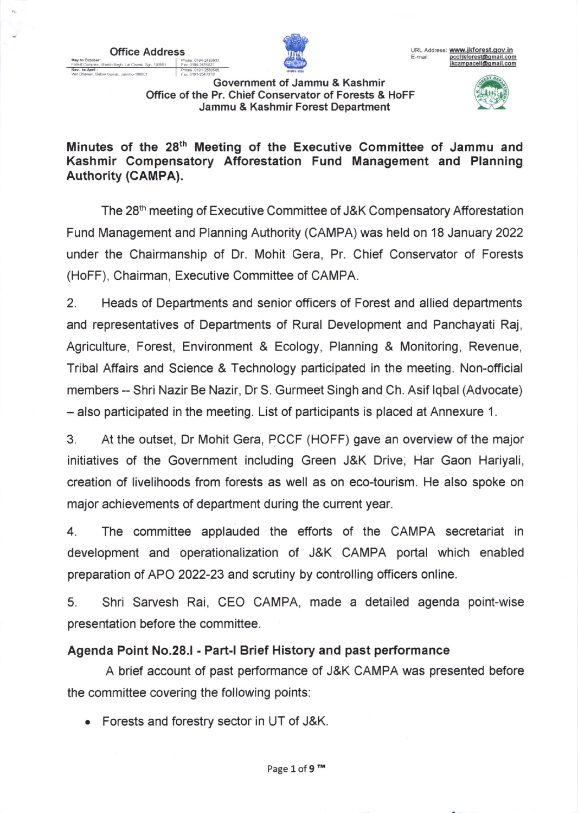

Govemment of Jammu & Kashmir Office of the Pr. Chief Conservator of Forests & HoFF Jammu & Kashmir Forest Department New to Chener. Shelh Bagh. Lal Chenk, Sgr. 19001 Part (1987-2433).<br> **Inc. 019-243021**<br>
Van Bhawan, Below Gunat, Jammu-180001 Part 019-258026.<br> **Inc. 019-241208.**<br> **COVERNMENT CONSERVATOR OF EORSER & HOEE** 



Minutes of the 28<sup>th</sup> Meeting of the Executive Committee of Jammu and Kashmir Compensatory Afforestation Fund Management and Planning Authority (CAMPA).

The 28<sup>th</sup> meeting of Executive Committee of J&K Compensatory Afforestation Fund Management and Planning Authority (CAMPA) was held on 18 January 2022 under the Chairmanship of Dr. Mohit Gera, Pr. Chief Conservator of Forests (HoFF), Chairman, Executive Committee of CAMPA.

2. Heads of Departments and senior officers of Forest and allied departments and representatives of Departments of Rural Development and Panchayati Raj, Agriculture, Forest, Environment & Ecology, Planning & Monitoring, Revenue, Tribal Affairs and Science & Technology participated in the meeting. Non-official members - Shri Nazir Be Nazir, Dr S. Gurmeet Singh and Ch. Asif lqbal (Advocate) - also participated in the meeting. List of participants is placed at Annexure 1.

3. At the outset, Dr Mohit Gera, PCCF (HOFF) gave an overview of the major initiatives of the Government including Green J&K Drive, Har Gaon Hariyali, creation of livelihoods from forests as well as on eco-tourism. He also spoke on major achievements of department during the current year.

4. The committee applauded the efforts of the CAMPA secretariat in development and operationalization of J&K CAMPA portal which enabled preparation of APO 2022-23 and scrutiny by controlling officers online.

5. Shri Sarvesh Rai, CEO CAMPA, made a detailed agenda point-wise presentation before the committee.

## Agenda Point No.28.l - Part-l Brief History and past performance

A brief account of past performance of J&K CAMPA was presented before the committee covering the following points:

. Forests and forestry sector in UT of J&K.